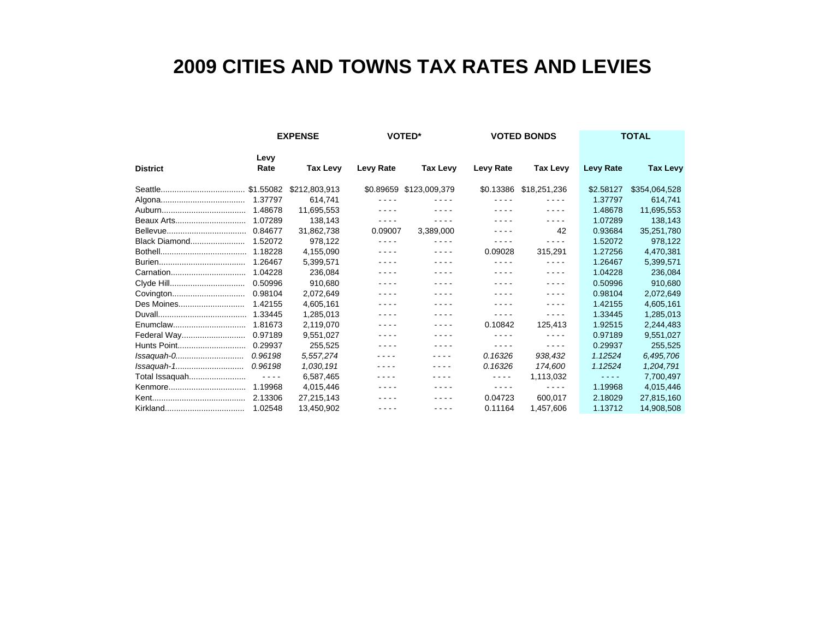## **2009 CITIES AND TOWNS TAX RATES AND LEVIES**

|                 | <b>EXPENSE</b>                                                                                    |                 | <b>VOTED*</b>    |                         | <b>VOTED BONDS</b> |                 | <b>TOTAL</b>     |               |
|-----------------|---------------------------------------------------------------------------------------------------|-----------------|------------------|-------------------------|--------------------|-----------------|------------------|---------------|
| <b>District</b> | Levy<br>Rate                                                                                      | <b>Tax Levy</b> | <b>Levy Rate</b> | <b>Tax Levy</b>         | Levy Rate          | <b>Tax Levy</b> | <b>Levy Rate</b> | Tax Levy      |
|                 |                                                                                                   |                 |                  |                         |                    |                 |                  |               |
|                 |                                                                                                   | \$212,803,913   |                  | \$0.89659 \$123,009,379 | \$0.13386          | \$18,251,236    | \$2,58127        | \$354,064,528 |
|                 | 1.37797                                                                                           | 614,741         |                  |                         | ----               |                 | 1.37797          | 614,741       |
|                 | 1.48678                                                                                           | 11,695,553      |                  |                         |                    | ----            | 1.48678          | 11,695,553    |
| Beaux Arts      | 1.07289                                                                                           | 138,143         |                  | ----                    |                    | - - - -         | 1.07289          | 138,143       |
|                 | 0.84677                                                                                           | 31,862,738      | 0.09007          | 3,389,000               | ----               | 42              | 0.93684          | 35,251,780    |
| Black Diamond   | 1.52072                                                                                           | 978,122         |                  | ----                    | ----               | ----            | 1.52072          | 978,122       |
|                 | 1.18228                                                                                           | 4,155,090       |                  | ----                    | 0.09028            | 315,291         | 1.27256          | 4,470,381     |
|                 | 1.26467                                                                                           | 5,399,571       |                  | - - - -                 | ----               |                 | 1.26467          | 5,399,571     |
|                 | 1.04228                                                                                           | 236,084         |                  | - - - -                 | ----               | ----            | 1.04228          | 236,084       |
| Clyde Hill      | 0.50996                                                                                           | 910.680         | ----             | - - - -                 | ----               | $- - - -$       | 0.50996          | 910,680       |
|                 | 0.98104                                                                                           | 2,072,649       |                  | - - - -                 |                    | ----            | 0.98104          | 2,072,649     |
| Des Moines      | 1.42155                                                                                           | 4,605,161       |                  |                         |                    |                 | 1.42155          | 4,605,161     |
|                 | 1.33445                                                                                           | 1,285,013       |                  | - - - -                 | ----               | ----            | 1.33445          | 1,285,013     |
| Enumclaw        | 1.81673                                                                                           | 2,119,070       |                  | - - - -                 | 0.10842            | 125,413         | 1.92515          | 2,244,483     |
| Federal Way     | 0.97189                                                                                           | 9,551,027       |                  | - - - -                 | ----               | ----            | 0.97189          | 9,551,027     |
| Hunts Point     | 0.29937                                                                                           | 255.525         |                  |                         | ----               | ----            | 0.29937          | 255,525       |
| Issaquah-0      | 0.96198                                                                                           | 5,557,274       |                  | .                       | 0.16326            | 938,432         | 1.12524          | 6,495,706     |
| Issaquah-1      | 0.96198                                                                                           | 1,030,191       |                  | - - - -                 | 0.16326            | 174,600         | 1.12524          | 1,204,791     |
| Total Issaquah  | $\frac{1}{2} \frac{1}{2} \frac{1}{2} \frac{1}{2} \frac{1}{2} \frac{1}{2} \frac{1}{2} \frac{1}{2}$ | 6,587,465       |                  |                         | $\cdots$           | 1,113,032       | ----             | 7,700,497     |
| Kenmore         | 1.19968                                                                                           | 4,015,446       |                  |                         | ----               | $- - - -$       | 1.19968          | 4,015,446     |
|                 | 2.13306                                                                                           | 27,215,143      |                  |                         | 0.04723            | 600.017         | 2.18029          | 27,815,160    |
|                 | 1.02548                                                                                           | 13,450,902      | - - - -          | ----                    | 0.11164            | 1,457,606       | 1.13712          | 14,908,508    |